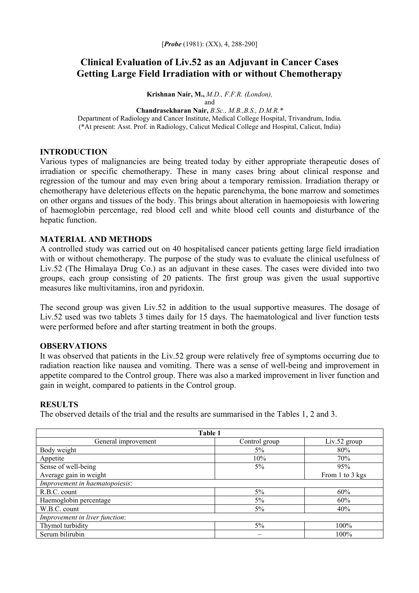# **Clinical Evaluation of Liv.52 as an Adjuvant in Cancer Cases Getting Large Field Irradiation with or without Chemotherapy**

**Krishnan Nair, M.,** *M.D., F.F.R. (London),* and

**Chandrasekharan Nair,** *B.Sc., M.B.,B.S., D.M.R.\**  Department of Radiology and Cancer Institute, Medical College Hospital, Trivandrum, India. (\*At present: Asst. Prof. in Radiology, Calicut Medical College and Hospital, Calicut, India)

## **INTRODUCTION**

Various types of malignancies are being treated today by either appropriate therapeutic doses of irradiation or specific chemotherapy. These in many cases bring about clinical response and regression of the tumour and may even bring about a temporary remission. Irradiation therapy or chemotherapy have deleterious effects on the hepatic parenchyma, the bone marrow and sometimes on other organs and tissues of the body. This brings about alteration in haemopoiesis with lowering of haemoglobin percentage, red blood cell and white blood cell counts and disturbance of the hepatic function.

### **MATERIAL AND METHODS**

A controlled study was carried out on 40 hospitalised cancer patients getting large field irradiation with or without chemotherapy. The purpose of the study was to evaluate the clinical usefulness of Liv.52 (The Himalaya Drug Co.) as an adjuvant in these cases. The cases were divided into two groups, each group consisting of 20 patients. The first group was given the usual supportive measures like multivitamins, iron and pyridoxin.

The second group was given Liv.52 in addition to the usual supportive measures. The dosage of Liv.52 used was two tablets 3 times daily for 15 days. The haematological and liver function tests were performed before and after starting treatment in both the groups.

#### **OBSERVATIONS**

It was observed that patients in the Liv.52 group were relatively free of symptoms occurring due to radiation reaction like nausea and vomiting. There was a sense of well-being and improvement in appetite compared to the Control group. There was also a marked improvement in liver function and gain in weight, compared to patients in the Control group.

#### **RESULTS**

The observed details of the trial and the results are summarised in the Tables 1, 2 and 3.

| Table 1                        |               |                 |  |  |  |  |  |
|--------------------------------|---------------|-----------------|--|--|--|--|--|
| General improvement            | Control group | $Liv.52$ group  |  |  |  |  |  |
| Body weight                    | $5\%$         | 80%             |  |  |  |  |  |
| Appetite                       | 10%           | 70%             |  |  |  |  |  |
| Sense of well-being            | $5\%$         | 95%             |  |  |  |  |  |
| Average gain in weight         |               | From 1 to 3 kgs |  |  |  |  |  |
| Improvement in haematopoiesis: |               |                 |  |  |  |  |  |
| R.B.C. count                   | $5\%$         | 60%             |  |  |  |  |  |
| Haemoglobin percentage         | $5\%$         | 60%             |  |  |  |  |  |
| W.B.C. count                   | $5\%$         | 40%             |  |  |  |  |  |
| Improvement in liver function: |               |                 |  |  |  |  |  |
| Thymol turbidity               | 5%            | 100%            |  |  |  |  |  |
| Serum bilirubin                | -             | 100%            |  |  |  |  |  |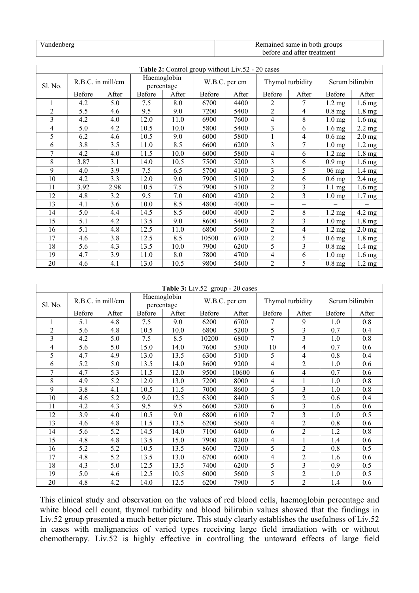| Vandenberg | Remained same in both groups |
|------------|------------------------------|
|            | before and after treatment   |

| Table 2: Control group without Liv.52 - 20 cases |                   |       |                           |       |               |       |                          |                   |                  |                   |
|--------------------------------------------------|-------------------|-------|---------------------------|-------|---------------|-------|--------------------------|-------------------|------------------|-------------------|
| Sl. No.                                          | R.B.C. in mill/cm |       | Haemoglobin<br>percentage |       | W.B.C. per cm |       | Thymol turbidity         |                   | Serum bilirubin  |                   |
|                                                  | Before            | After | Before                    | After | Before        | After | Before                   | After             | Before           | After             |
|                                                  | 4.2               | 5.0   | 7.5                       | 8.0   | 6700          | 4400  | 2                        | 7                 | $1.2 \text{ mg}$ | $1.6$ mg          |
| $\overline{2}$                                   | 5.5               | 4.6   | 9.5                       | 9.0   | 7200          | 5400  | $\overline{c}$           | $\overline{4}$    | $0.8$ mg         | 1.8 mg            |
| 3                                                | 4.2               | 4.0   | 12.0                      | 11.0  | 6900          | 7600  | 4                        | 8                 | $1.0 \text{ mg}$ | 1.6 mg            |
| 4                                                | 5.0               | 4.2   | 10.5                      | 10.0  | 5800          | 5400  | 3                        | 6                 | $1.6 \text{ mg}$ | $2.2 \text{ mg}$  |
| 5                                                | 6.2               | 4.6   | 10.5                      | 9.0   | 6000          | 5800  |                          | $\overline{4}$    | $0.6$ mg         | $2.0 \text{ mg}$  |
| 6                                                | 3.8               | 3.5   | 11.0                      | 8.5   | 6600          | 6200  | $\overline{3}$           | 7                 | $1.0 \text{ mg}$ | $1.2 \text{ mg}$  |
| 7                                                | 4.2               | 4.0   | 11.5                      | 10.0  | 6000          | 5800  | 4                        | 6                 | $1.2 \text{ mg}$ | 1.8 mg            |
| 8                                                | 3.87              | 3.1   | 14.0                      | 10.5  | 7500          | 5200  | 3                        | 6                 | $0.9$ mg         | $1.6 \text{ mg}$  |
| 9                                                | 4.0               | 3.9   | 7.5                       | 6.5   | 5700          | 4100  | $\overline{3}$           | 5                 | $06$ mg          | $1.4 \text{ mg}$  |
| 10                                               | 4.2               | 3.3   | 12.0                      | 9.0   | 7900          | 5100  | $\overline{2}$           | 6                 | $0.6$ mg         | $2.4 \text{ mg}$  |
| 11                                               | 3.92              | 2.98  | 10.5                      | 7.5   | 7900          | 5100  | $\overline{2}$           | $\overline{3}$    | $1.1 \text{ mg}$ | $1.6 \text{ mg}$  |
| 12                                               | 4.8               | 3.2   | 9.5                       | 7.0   | 6000          | 4200  | $\overline{2}$           | $\overline{3}$    | $1.0 \text{ mg}$ | 1.7 <sub>mg</sub> |
| 13                                               | 4.1               | 3.6   | 10.0                      | 8.5   | 4800          | 4000  | $\overline{\phantom{0}}$ | $\qquad \qquad -$ |                  |                   |
| 14                                               | 5.0               | 4.4   | 14.5                      | 8.5   | 6000          | 4000  | $\overline{c}$           | 8                 | $1.2 \text{ mg}$ | 4.2 mg            |
| 15                                               | 5.1               | 4.2   | 13.5                      | 9.0   | 8600          | 5400  | $\overline{c}$           | $\overline{3}$    | $1.0 \text{ mg}$ | 1.8 mg            |
| 16                                               | 5.1               | 4.8   | 12.5                      | 11.0  | 6800          | 5600  | $\overline{c}$           | $\overline{4}$    | $1.2 \text{ mg}$ | $2.0$ mg          |
| 17                                               | 4.6               | 3.8   | 12.5                      | 8.5   | 10500         | 6700  | $\overline{c}$           | 5                 | $0.6$ mg         | $1.8$ mg          |
| 18                                               | 5.6               | 4.3   | 13.5                      | 10.0  | 7900          | 6200  | 5                        | $\mathfrak{Z}$    | $0.8$ mg         | 1.4 <sub>mg</sub> |
| 19                                               | 4.7               | 3.9   | 11.0                      | 8.0   | 7800          | 4700  | 4                        | 6                 | $1.0 \text{ mg}$ | $1.6$ mg          |
| 20                                               | 4.6               | 4.1   | 13.0                      | 10.5  | 9800          | 5400  | 2                        | 5                 | $0.8$ mg         | $1.2 \text{ mg}$  |

| Table 3: Liv.52 group - 20 cases |                   |       |                           |       |               |       |                  |                |                 |       |
|----------------------------------|-------------------|-------|---------------------------|-------|---------------|-------|------------------|----------------|-----------------|-------|
| Sl. No.                          | R.B.C. in mill/cm |       | Haemoglobin<br>percentage |       | W.B.C. per cm |       | Thymol turbidity |                | Serum bilirubin |       |
|                                  | Before            | After | Before                    | After | Before        | After | Before           | After          | Before          | After |
| 1                                | 5.1               | 4.8   | 7.5                       | 9.0   | 6200          | 6700  | 7                | 9              | 1.0             | 0.8   |
| $\overline{2}$                   | 5.6               | 4.8   | 10.5                      | 10.0  | 6800          | 5200  | 5                | 3              | 0.7             | 0.4   |
| 3                                | 4.2               | 5.0   | 7.5                       | 8.5   | 10200         | 6800  | 7                | 3              | 1.0             | 0.8   |
| 4                                | 5.6               | 5.0   | 15.0                      | 14.0  | 7600          | 5300  | 10               | $\overline{4}$ | 0.7             | 0.6   |
| 5                                | 4.7               | 4.9   | 13.0                      | 13.5  | 6300          | 5100  | 5                | $\overline{4}$ | 0.8             | 0.4   |
| 6                                | 5.2               | 5.0   | 13.5                      | 14.0  | 8600          | 9200  | 4                | $\overline{2}$ | 1.0             | 0.6   |
| 7                                | 4.7               | 5.3   | 11.5                      | 12.0  | 9500          | 10600 | 6                | $\overline{4}$ | 0.7             | 0.6   |
| 8                                | 4.9               | 5.2   | 12.0                      | 13.0  | 7200          | 8000  | 4                |                | 1.0             | 0.8   |
| 9                                | 3.8               | 4.1   | 10.5                      | 11.5  | 7000          | 8600  | 5                | 3              | 1.0             | 0.8   |
| 10                               | 4.6               | 5.2   | 9.0                       | 12.5  | 6300          | 8400  | 5                | $\overline{2}$ | 0.6             | 0.4   |
| 11                               | 4.2               | 4.3   | 9.5                       | 9.5   | 6600          | 5200  | 6                | 3              | 1.6             | 0.6   |
| 12                               | 3.9               | 4.0   | 10.5                      | 9.0   | 6800          | 6100  | 7                | 3              | 1.0             | 0.5   |
| 13                               | 4.6               | 4.8   | 11.5                      | 13.5  | 6200          | 5600  | 4                | $\overline{2}$ | 0.8             | 0.6   |
| 14                               | 5.6               | 5.2   | 14.5                      | 14.0  | 7100          | 6400  | 6                | $\overline{2}$ | 1.2             | 0.8   |
| 15                               | 4.8               | 4.8   | 13.5                      | 15.0  | 7900          | 8200  | 4                |                | 1.4             | 0.6   |
| 16                               | 5.2               | 5.2   | 10.5                      | 13.5  | 8600          | 7200  | 5                | $\overline{2}$ | 0.8             | 0.5   |
| 17                               | 4.8               | 5.2   | 13.5                      | 13.0  | 6700          | 6000  | 4                | $\overline{2}$ | 1.6             | 0.6   |
| 18                               | 4.3               | 5.0   | 12.5                      | 13.5  | 7400          | 6200  | 5                | 3              | 0.9             | 0.5   |
| 19                               | 5.0               | 4.6   | 12.5                      | 10.5  | 6000          | 5600  | 5                | $\overline{2}$ | 1.0             | 0.5   |
| 20                               | 4.8               | 4.2   | 14.0                      | 12.5  | 6200          | 7900  | 5                | $\overline{2}$ | 1.4             | 0.6   |

This clinical study and observation on the values of red blood cells, haemoglobin percentage and white blood cell count, thymol turbidity and blood bilirubin values showed that the findings in Liv.52 group presented a much better picture. This study clearly establishes the usefulness of Liv.52 in cases with malignancies of varied types receiving large field irradiation with or without chemotherapy. Liv.52 is highly effective in controlling the untoward effects of large field